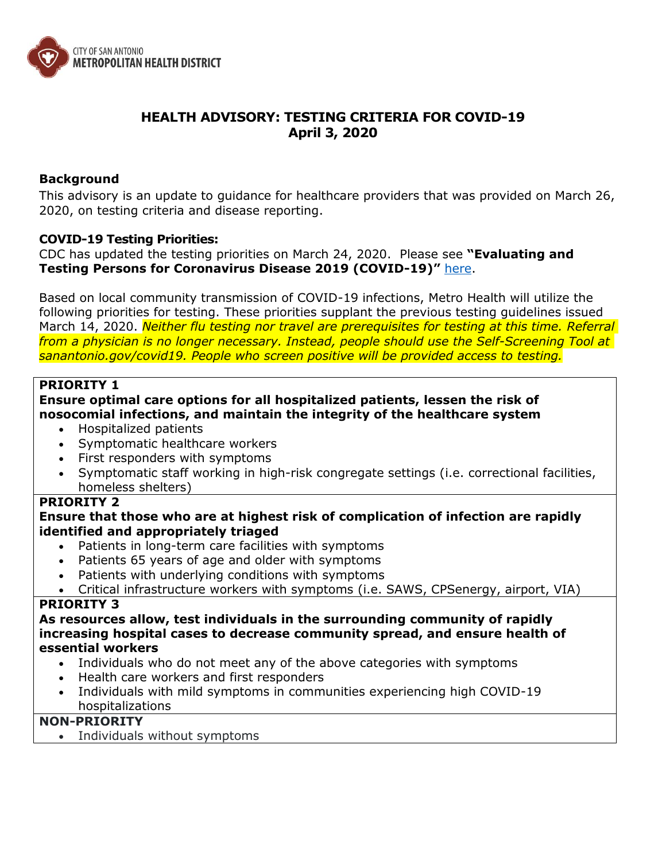

# **HEALTH ADVISORY: TESTING CRITERIA FOR COVID-19 April 3, 2020**

#### **Background**

This advisory is an update to guidance for healthcare providers that was provided on March 26, 2020, on testing criteria and disease reporting.

#### **COVID-19 Testing Priorities:**

CDC has updated the testing priorities on March 24, 2020. Please see **"Evaluating and Testing Persons for Coronavirus Disease 2019 (COVID-19)"** [here.](https://www.cdc.gov/coronavirus/2019-nCoV/hcp/clinical-criteria.html)

Based on local community transmission of COVID-19 infections, Metro Health will utilize the following priorities for testing. These priorities supplant the previous testing guidelines issued March 14, 2020. *Neither flu testing nor travel are prerequisites for testing at this time. Referral from a physician is no longer necessary. Instead, people should use the Self-Screening Tool at sanantonio.gov/covid19. People who screen positive will be provided access to testing.*

### **PRIORITY 1**

## **Ensure optimal care options for all hospitalized patients, lessen the risk of nosocomial infections, and maintain the integrity of the healthcare system**

- Hospitalized patients
- Symptomatic healthcare workers
- First responders with symptoms
- Symptomatic staff working in high-risk congregate settings (i.e. correctional facilities, homeless shelters)

# **PRIORITY 2**

### **Ensure that those who are at highest risk of complication of infection are rapidly identified and appropriately triaged**

- Patients in long-term care facilities with symptoms
- Patients 65 years of age and older with symptoms
- Patients with underlying conditions with symptoms
- Critical infrastructure workers with symptoms (i.e. SAWS, CPSenergy, airport, VIA)

#### **PRIORITY 3**

**As resources allow, test individuals in the surrounding community of rapidly increasing hospital cases to decrease community spread, and ensure health of essential workers**

- Individuals who do not meet any of the above categories with symptoms
- Health care workers and first responders
- Individuals with mild symptoms in communities experiencing high COVID-19 hospitalizations

# **NON-PRIORITY**

Individuals without symptoms